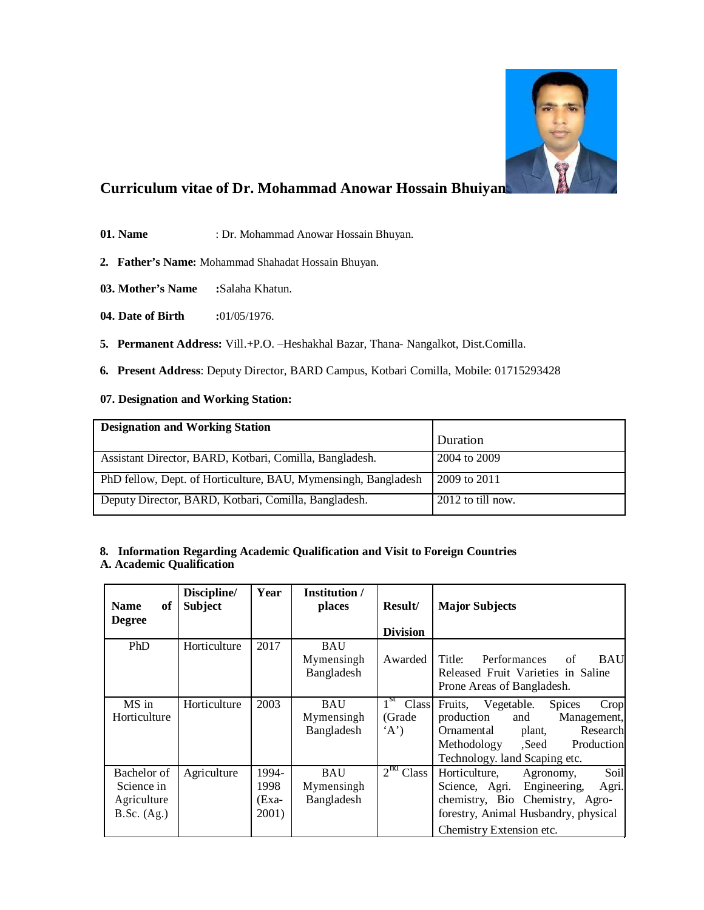

# **Curriculum vitae of Dr. Mohammad Anowar Hossain Bhuiyan**

- **01. Name** : Dr. Mohammad Anowar Hossain Bhuyan.
- **2. Father's Name:** Mohammad Shahadat Hossain Bhuyan.
- **03. Mother's Name :**Salaha Khatun.
- **04. Date of Birth :**01/05/1976.
- **5. Permanent Address:** Vill.+P.O. –Heshakhal Bazar, Thana- Nangalkot, Dist.Comilla.
- **6. Present Address**: Deputy Director, BARD Campus, Kotbari Comilla, Mobile: 01715293428

## **07. Designation and Working Station:**

| <b>Designation and Working Station</b>                         | Duration          |
|----------------------------------------------------------------|-------------------|
|                                                                |                   |
| Assistant Director, BARD, Kotbari, Comilla, Bangladesh.        | 2004 to 2009      |
| PhD fellow, Dept. of Horticulture, BAU, Mymensingh, Bangladesh | 2009 to 2011      |
| Deputy Director, BARD, Kotbari, Comilla, Bangladesh.           | 2012 to till now. |

### **8. Information Regarding Academic Qualification and Visit to Foreign Countries A. Academic Qualification**

| <b>Name</b><br>of<br><b>Degree</b>                      | Discipline/<br><b>Subject</b> | Year                            | <b>Institution</b> /<br>places         | Result/                           | <b>Major Subjects</b>                                                                                                                                                                             |
|---------------------------------------------------------|-------------------------------|---------------------------------|----------------------------------------|-----------------------------------|---------------------------------------------------------------------------------------------------------------------------------------------------------------------------------------------------|
|                                                         |                               |                                 |                                        | <b>Division</b>                   |                                                                                                                                                                                                   |
| PhD                                                     | Horticulture                  | 2017                            | <b>BAU</b><br>Mymensingh<br>Bangladesh | Awarded                           | Title:<br><b>BAU</b><br>Performances<br>of<br>Released Fruit Varieties in Saline<br>Prone Areas of Bangladesh.                                                                                    |
| MS in<br>Horticulture                                   | Horticulture                  | 2003                            | <b>BAU</b><br>Mymensingh<br>Bangladesh | 1 <sup>st</sup><br>(Grade<br>(A') | Class Fruits,<br><b>Spices</b><br>Vegetable.<br>Crop<br>and<br>production<br>Management,<br>Research<br>Ornamental<br>plant,<br>Methodology , Seed<br>Production<br>Technology. land Scaping etc. |
| Bachelor of<br>Science in<br>Agriculture<br>B.Sc. (Ag.) | Agriculture                   | 1994-<br>1998<br>(Exa-<br>2001) | <b>BAU</b><br>Mymensingh<br>Bangladesh | $2^{nq}$ Class                    | Soil<br>Horticulture,<br>Agronomy,<br>Engineering,<br>Science, Agri.<br>Agri.<br>chemistry, Bio Chemistry, Agro-<br>forestry, Animal Husbandry, physical<br>Chemistry Extension etc.              |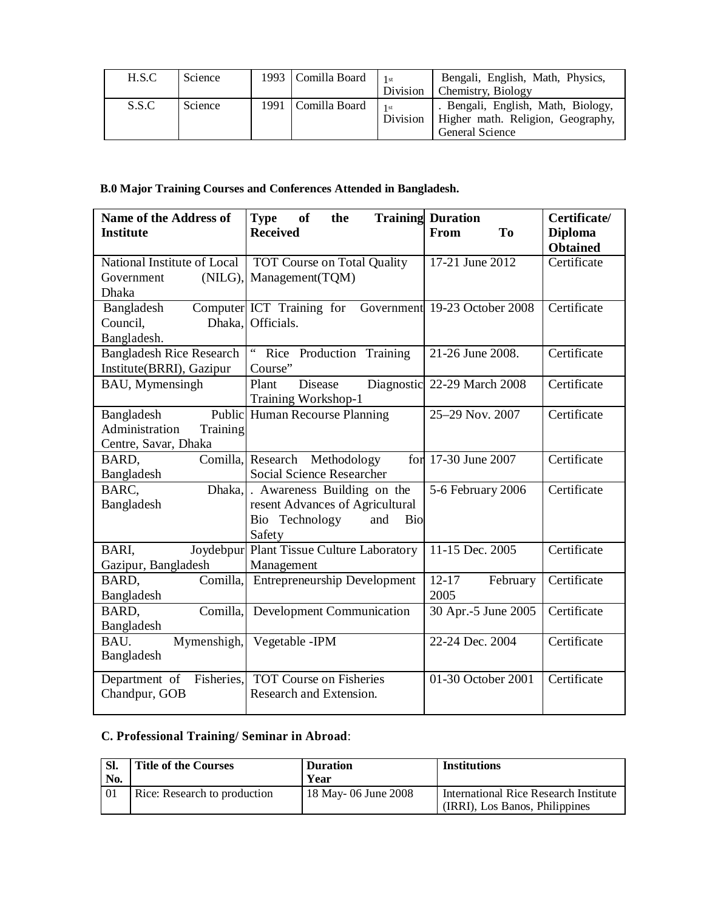| H.S.C | Science | 1993   Comilla Board | 1st              | Bengali, English, Math, Physics,                                                                  |
|-------|---------|----------------------|------------------|---------------------------------------------------------------------------------------------------|
|       |         |                      | Division         | Chemistry, Biology                                                                                |
| S.S.C | Science | 1991   Comilla Board | 1 st<br>Division | . Bengali, English, Math, Biology,<br>Higher math. Religion, Geography,<br><b>General Science</b> |

# **B.0 Major Training Courses and Conferences Attended in Bangladesh.**

| <b>Name of the Address of</b><br><b>Institute</b>                | <b>Type</b><br><b>of</b><br>the<br><b>Received</b>                                                                     | <b>Training Duration</b><br>To<br>From | Certificate/<br><b>Diploma</b><br><b>Obtained</b> |
|------------------------------------------------------------------|------------------------------------------------------------------------------------------------------------------------|----------------------------------------|---------------------------------------------------|
| National Institute of Local<br>(NILG),<br>Government<br>Dhaka    | TOT Course on Total Quality<br>Management(TQM)                                                                         | 17-21 June 2012                        | Certificate                                       |
| Bangladesh<br>Council,<br>Bangladesh.                            | Computer ICT Training for<br>Dhaka, Officials.                                                                         | Government 19-23 October 2008          | Certificate                                       |
| <b>Bangladesh Rice Research</b><br>Institute(BRRI), Gazipur      | " Rice Production Training<br>Course"                                                                                  | 21-26 June 2008.                       | Certificate                                       |
| BAU, Mymensingh                                                  | <b>Disease</b><br>Plant<br>Training Workshop-1                                                                         | Diagnostic 22-29 March 2008            | Certificate                                       |
| Bangladesh<br>Administration<br>Training<br>Centre, Savar, Dhaka | <b>Public</b> Human Recourse Planning                                                                                  | 25-29 Nov. 2007                        | Certificate                                       |
| BARD,<br>Bangladesh                                              | Comilla, Research Methodology<br>Social Science Researcher                                                             | for 17-30 June 2007                    | Certificate                                       |
| BARC,<br>Bangladesh                                              | Dhaka, . Awareness Building on the<br>resent Advances of Agricultural<br>Bio Technology<br><b>Bio</b><br>and<br>Safety | 5-6 February 2006                      | Certificate                                       |
| BARI,<br>Gazipur, Bangladesh                                     | Joydebpur Plant Tissue Culture Laboratory<br>Management                                                                | 11-15 Dec. 2005                        | Certificate                                       |
| Comilla,<br>BARD,<br>Bangladesh                                  | <b>Entrepreneurship Development</b>                                                                                    | $12 - 17$<br>February<br>2005          | Certificate                                       |
| Comilla,<br>BARD,<br>Bangladesh                                  | <b>Development Communication</b>                                                                                       | 30 Apr.-5 June 2005                    | Certificate                                       |
| BAU.<br>Mymenshigh,<br>Bangladesh                                | Vegetable -IPM                                                                                                         | 22-24 Dec. 2004                        | Certificate                                       |
| Fisheries,<br>Department of<br>Chandpur, GOB                     | <b>TOT Course on Fisheries</b><br>Research and Extension.                                                              | 01-30 October 2001                     | Certificate                                       |

# **C. Professional Training/ Seminar in Abroad**:

| Sl.<br>No. | <b>Title of the Courses</b>  | <b>Duration</b><br>Year | <b>Institutions</b>                                                       |
|------------|------------------------------|-------------------------|---------------------------------------------------------------------------|
|            | Rice: Research to production | 18 May - 06 June 2008   | I International Rice Research Institute<br>(IRRI), Los Banos, Philippines |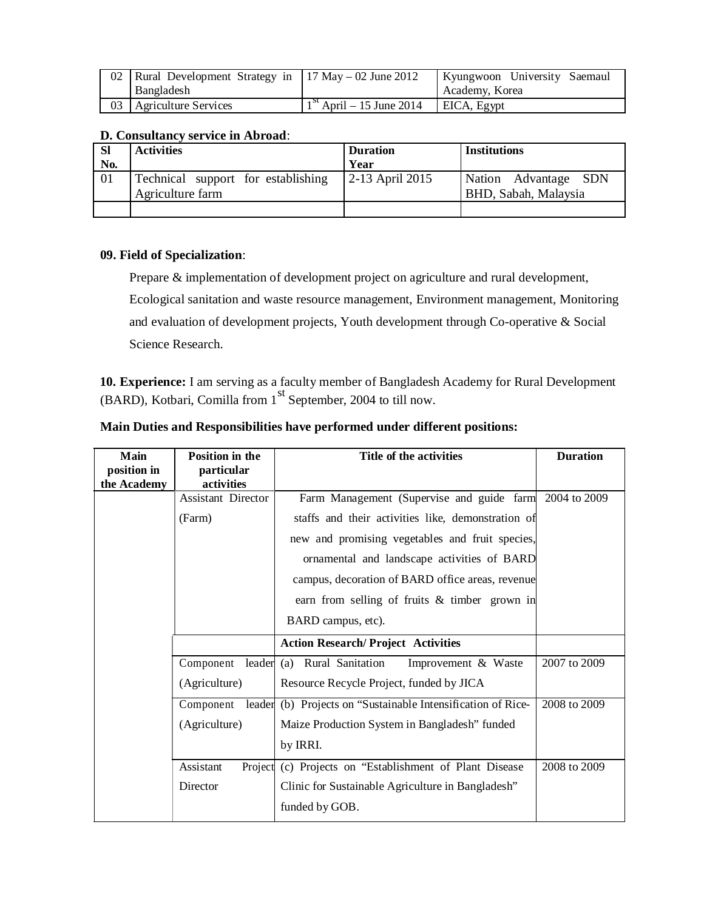|    | 02   Rural Development Strategy in   17 May – 02 June 2012 |                            | Kyungwoon University Saemaul |
|----|------------------------------------------------------------|----------------------------|------------------------------|
|    | Bangladesh                                                 |                            | Academy, Korea               |
| 03 | Agriculture Services                                       | $1st$ April – 15 June 2014 | $\angle$ EICA, Egypt         |

### **D. Consultancy service in Abroad**:

| <b>SI</b> | <b>Activities</b>                  | <b>Duration</b> | <b>Institutions</b>  |
|-----------|------------------------------------|-----------------|----------------------|
| No.       |                                    | Year            |                      |
| 01        | Technical support for establishing | 2-13 April 2015 | Nation Advantage SDN |
|           | Agriculture farm                   |                 | BHD, Sabah, Malaysia |
|           |                                    |                 |                      |

## **09. Field of Specialization**:

Prepare & implementation of development project on agriculture and rural development, Ecological sanitation and waste resource management, Environment management, Monitoring and evaluation of development projects, Youth development through Co-operative & Social Science Research.

**10. Experience:** I am serving as a faculty member of Bangladesh Academy for Rural Development (BARD), Kotbari, Comilla from 1st September, 2004 to till now.

## **Main Duties and Responsibilities have performed under different positions:**

| Main<br>position in | <b>Position in the</b><br>particular | Title of the activities                                                | <b>Duration</b> |
|---------------------|--------------------------------------|------------------------------------------------------------------------|-----------------|
| the Academy         | activities                           |                                                                        |                 |
|                     | <b>Assistant Director</b>            | Farm Management (Supervise and guide farm                              | 2004 to 2009    |
|                     | (Farm)                               | staffs and their activities like, demonstration of                     |                 |
|                     |                                      | new and promising vegetables and fruit species,                        |                 |
|                     |                                      | ornamental and landscape activities of BARD                            |                 |
|                     |                                      | campus, decoration of BARD office areas, revenue                       |                 |
|                     |                                      | earn from selling of fruits & timber grown in                          |                 |
|                     |                                      | BARD campus, etc).                                                     |                 |
|                     |                                      | <b>Action Research/Project Activities</b>                              |                 |
|                     |                                      | Component leader (a) Rural Sanitation<br>Improvement & Waste           | 2007 to 2009    |
|                     | (Agriculture)                        | Resource Recycle Project, funded by JICA                               |                 |
|                     |                                      | Component leader (b) Projects on "Sustainable Intensification of Rice- | 2008 to 2009    |
|                     | (Agriculture)                        | Maize Production System in Bangladesh" funded                          |                 |
|                     |                                      | by IRRI.                                                               |                 |
|                     | Assistant<br>Project                 | (c) Projects on "Establishment of Plant Disease                        | 2008 to 2009    |
|                     | Director                             | Clinic for Sustainable Agriculture in Bangladesh"                      |                 |
|                     |                                      | funded by GOB.                                                         |                 |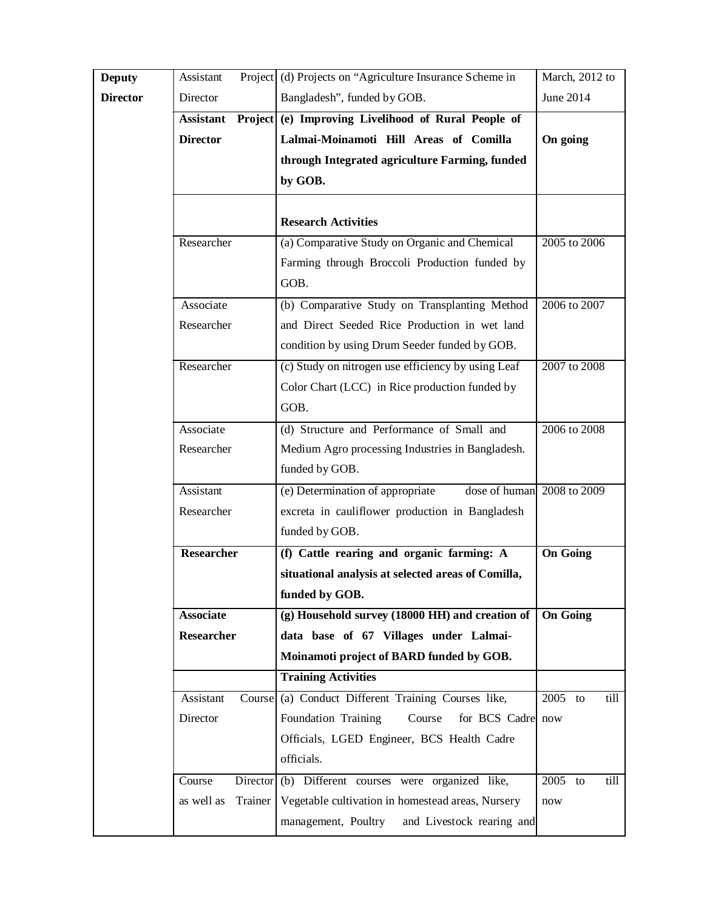| <b>Deputy</b>                                 | Assistant             | Project (d) Projects on "Agriculture Insurance Scheme in | March, 2012 to  |
|-----------------------------------------------|-----------------------|----------------------------------------------------------|-----------------|
| <b>Director</b>                               | Director              | Bangladesh", funded by GOB.                              | June 2014       |
|                                               | <b>Assistant</b>      | Project (e) Improving Livelihood of Rural People of      |                 |
|                                               | <b>Director</b>       | Lalmai-Moinamoti Hill Areas of Comilla                   | On going        |
|                                               |                       | through Integrated agriculture Farming, funded           |                 |
|                                               |                       | by GOB.                                                  |                 |
|                                               |                       | <b>Research Activities</b>                               |                 |
|                                               | Researcher            | (a) Comparative Study on Organic and Chemical            | 2005 to 2006    |
|                                               |                       | Farming through Broccoli Production funded by            |                 |
|                                               |                       | GOB.                                                     |                 |
|                                               | Associate             | (b) Comparative Study on Transplanting Method            | 2006 to 2007    |
|                                               | Researcher            | and Direct Seeded Rice Production in wet land            |                 |
|                                               |                       | condition by using Drum Seeder funded by GOB.            |                 |
|                                               | Researcher            | (c) Study on nitrogen use efficiency by using Leaf       | 2007 to 2008    |
|                                               |                       | Color Chart (LCC) in Rice production funded by           |                 |
|                                               |                       | GOB.                                                     |                 |
|                                               | Associate             | (d) Structure and Performance of Small and               | 2006 to 2008    |
| Researcher                                    |                       | Medium Agro processing Industries in Bangladesh.         |                 |
|                                               |                       | funded by GOB.                                           |                 |
| (e) Determination of appropriate<br>Assistant |                       | dose of human 2008 to 2009                               |                 |
|                                               | Researcher            | excreta in cauliflower production in Bangladesh          |                 |
|                                               |                       | funded by GOB.                                           |                 |
|                                               | <b>Researcher</b>     | (f) Cattle rearing and organic farming: A                | <b>On Going</b> |
|                                               |                       | situational analysis at selected areas of Comilla,       |                 |
|                                               |                       | funded by GOB.                                           |                 |
|                                               | <b>Associate</b>      | (g) Household survey (18000 HH) and creation of          | <b>On Going</b> |
|                                               | <b>Researcher</b>     | data base of 67 Villages under Lalmai-                   |                 |
|                                               |                       | Moinamoti project of BARD funded by GOB.                 |                 |
|                                               |                       | <b>Training Activities</b>                               |                 |
|                                               | Course<br>Assistant   | (a) Conduct Different Training Courses like,             | 2005 to<br>till |
|                                               | Director              | Foundation Training<br>Course<br>for BCS Cadre now       |                 |
|                                               |                       | Officials, LGED Engineer, BCS Health Cadre               |                 |
|                                               |                       | officials.                                               |                 |
|                                               | Course                | Director (b) Different courses were organized like,      | 2005 to<br>till |
|                                               | as well as<br>Trainer | Vegetable cultivation in homestead areas, Nursery        | now             |
|                                               |                       | management, Poultry<br>and Livestock rearing and         |                 |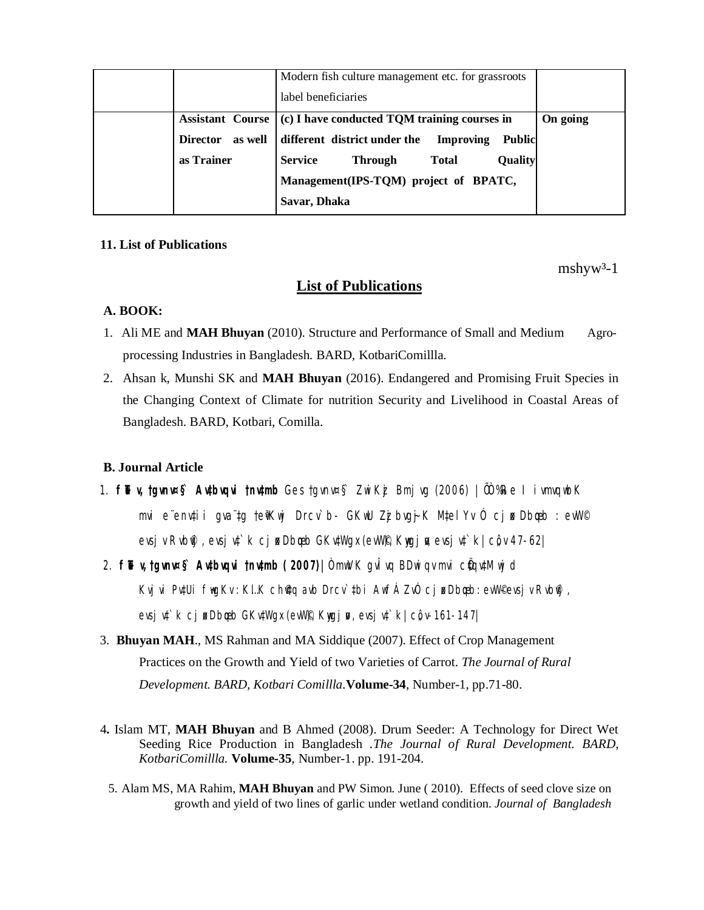|                            | Modern fish culture management etc. for grassroots                    |          |
|----------------------------|-----------------------------------------------------------------------|----------|
|                            | label beneficiaries                                                   |          |
|                            | Assistant Course $\vert$ (c) I have conducted TQM training courses in | On going |
| as well<br><b>Director</b> | different district under the<br>Improving<br><b>Public</b>            |          |
| as Trainer                 | <b>Service</b><br><b>Quality</b><br>Through<br><b>Total</b>           |          |
|                            | Management(IPS-TQM) project of BPATC,                                 |          |
|                            | Savar, Dhaka                                                          |          |

#### **11. List of Publications**

 $m$ shyw<sup>3</sup>-1

# **List of Publications**

### **A. BOOK:**

- 1. Ali ME and **MAH Bhuyan** (2010). Structure and Performance of Small and Medium Agroprocessing Industries in Bangladesh. BARD, KotbariComillla.
- 2. Ahsan k, Munshi SK and **MAH Bhuyan** (2016). Endangered and Promising Fruit Species in the Changing Context of Climate for nutrition Security and Livelihood in Coastal Areas of Bangladesh. BARD, Kotbari, Comilla.

## **B. Journal Article**

- 1. **fu~Tv, †gvnv¤§` Av‡bvqvi †nv‡mb** Ges †gvnv¤§` ZwiKzj Bmjvg (2006) | ÕÒ‰Re I ivmvqwbK mvi e¨env‡ii gva¨‡g †e∛Kwj Drcv`b- GKwU Zżbvg⊢K M‡elYv Ó cjøDbgde : evW© evsj v Rvb $\circ$ , evsj v‡`k cjøDbode GKv‡Wgx (evW) $\circ$ Kwgjøevsj v‡`k| c $\circ$ v 47-62|
- 2. **f#v, tgvnv¤§` Av‡bvqvi tnv‡mb ( 2007)**| ÒmwVK gvî vq BDwiqv mvi cÖqy‡M wjd Kvj vi Pv‡Ui fingKv : K.I.K ch@q avb Drcv`‡bi AwfÁZvÓ cjøDbœb: evW©evsj v Rvb@, evsjv‡`k cjøDbode GKv‡Wgx (evW)© Kwgjø, evsjv‡`k| côv-161-147|
- 3. **Bhuyan MAH**., MS Rahman and MA Siddique (2007). Effect of Crop Management Practices on the Growth and Yield of two Varieties of Carrot. *The Journal of Rural Development. BARD, Kotbari Comillla.***Volume-34**, Number-1, pp.71-80.
- 4**.** Islam MT, **MAH Bhuyan** and B Ahmed (2008). Drum Seeder: A Technology for Direct Wet Seeding Rice Production in Bangladesh .*The Journal of Rural Development. BARD, KotbariComillla.* **Volume-35**, Number-1. pp. 191-204.
	- 5. Alam MS, MA Rahim, **MAH Bhuyan** and PW Simon. June ( 2010). Effects of seed clove size on growth and yield of two lines of garlic under wetland condition. *Journal of Bangladesh*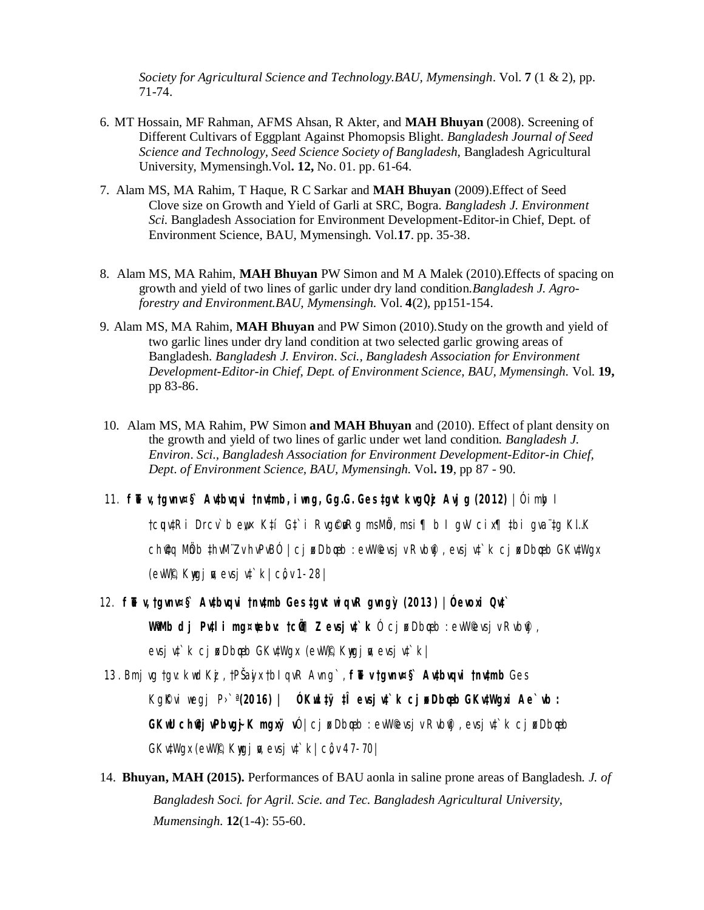*Society for Agricultural Science and Technology.BAU, Mymensingh*. Vol. **7** (1 & 2), pp. 71-74.

- 6. MT Hossain, MF Rahman, AFMS Ahsan, R Akter, and **MAH Bhuyan** (2008). Screening of Different Cultivars of Eggplant Against Phomopsis Blight. *Bangladesh Journal of Seed Science and Technology, Seed Science Society of Bangladesh*, Bangladesh Agricultural University, Mymensingh.Vol**. 12,** No. 01. pp. 61-64.
- 7. Alam MS, MA Rahim, T Haque, R C Sarkar and **MAH Bhuyan** (2009).Effect of Seed Clove size on Growth and Yield of Garli at SRC, Bogra. *Bangladesh J. Environment Sci.* Bangladesh Association for Environment Development-Editor-in Chief, Dept. of Environment Science, BAU, Mymensingh. Vol.**17**. pp. 35-38.
- 8. Alam MS, MA Rahim, **MAH Bhuyan** PW Simon and M A Malek (2010).Effects of spacing on growth and yield of two lines of garlic under dry land condition.*Bangladesh J. Agroforestry and Environment.BAU, Mymensingh.* Vol. **4**(2), pp151-154.
- 9. Alam MS, MA Rahim, **MAH Bhuyan** and PW Simon (2010).Study on the growth and yield of two garlic lines under dry land condition at two selected garlic growing areas of Bangladesh. *Bangladesh J. Environ. Sci., Bangladesh Association for Environment Development-Editor-in Chief, Dept. of Environment Science, BAU, Mymensingh.* Vol. **19,** pp 83-86.
- 10. Alam MS, MA Rahim, PW Simon **and MAH Bhuyan** and (2010). Effect of plant density on the growth and yield of two lines of garlic under wet land condition. *Bangladesh J. Environ. Sci., Bangladesh Association for Environment Development-Editor-in Chief, Dept. of Environment Science, BAU, Mymensingh.* Vol**. 19**, pp 87 - 90.
- 11. **fix** v, tgvnv¤§` Av‡bvgvi †nv‡mb, i ung, Gg.G. Ges ‡gvt kvgQ**ż** Avjg (2012) | Óimb I

†cuqv‡Ri Drcv`b ew× K‡í G‡`i Rvg©wRg msMÖ, msi¶b I gvV cix¶‡bi gva¨‡g K…lK ch@q MÖb ‡hvM¨Zv hvPvBÓ | cjøDbœb : evW@vsjv Rvb@, evsjv‡`k cjøDbœb GKv‡Wgx (evW©), Kywgjøv, evsjv‡`k| c"ôv 1-28|

12. **fu~Tv, †gvnv¤§` Av‡bvqvi †nv‡mb Ges ‡gvt wiqvR gvngy` (2013) | Óevoxi Qv‡`**

W**Mb di Putli mg¤nebv: tciğ]Z evsjut`k** Ó ciøDbode : evW@vsjv Rvb@,

evsjv‡`k cjøDbode GKv‡Wgx (evW)©, Knygjøv, evsjv‡`k|

- 13. Bmjvg †gv: kwdKzj, †PŠayix †bIqvR Avng`, **fu~Tv †gvnv¤§` Av‡bvqvi †nv‡mb** Ges Kg©vi wegj P><sup>`a</sup> (2016) | ÓKwl‡ÿ‡Î evsjv‡`k cjøDb**qb GKv**‡Wgxi Ae`vb: **GKwU ch@jvPbvgj-K mgxÿvÓ| cjøDbœd**: evW@vsjv Rvb@, evsjv‡`k cjøDb**œd**  $G$ Kv‡Wgx (evW $\odot$  Kwgiøvevsjv $\ddot{\tau}$ `k| c $\odot$ v 47-70|
- 14. **Bhuyan, MAH (2015).** Performances of BAU aonla in saline prone areas of Bangladesh. *J. of Bangladesh Soci. for Agril. Scie. and Tec. Bangladesh Agricultural University, Mumensingh.* **12**(1-4): 55-60.